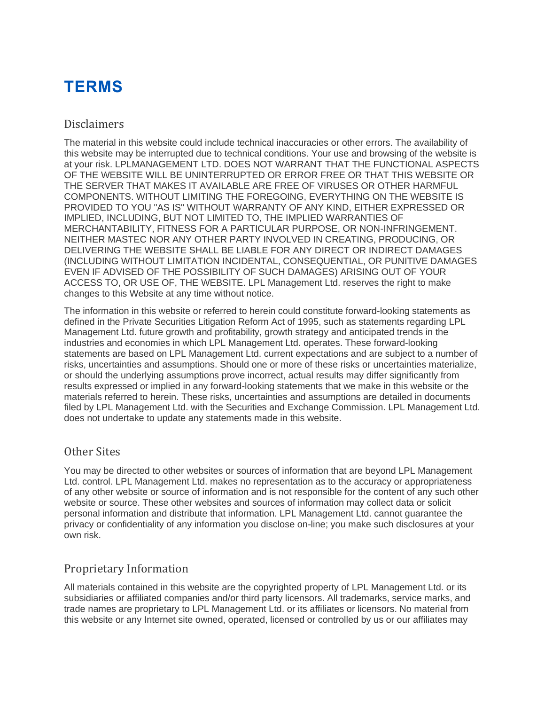# **TERMS**

### Disclaimers

The material in this website could include technical inaccuracies or other errors. The availability of this website may be interrupted due to technical conditions. Your use and browsing of the website is at your risk. LPLMANAGEMENT LTD. DOES NOT WARRANT THAT THE FUNCTIONAL ASPECTS OF THE WEBSITE WILL BE UNINTERRUPTED OR ERROR FREE OR THAT THIS WEBSITE OR THE SERVER THAT MAKES IT AVAILABLE ARE FREE OF VIRUSES OR OTHER HARMFUL COMPONENTS. WITHOUT LIMITING THE FOREGOING, EVERYTHING ON THE WEBSITE IS PROVIDED TO YOU "AS IS" WITHOUT WARRANTY OF ANY KIND, EITHER EXPRESSED OR IMPLIED, INCLUDING, BUT NOT LIMITED TO, THE IMPLIED WARRANTIES OF MERCHANTABILITY, FITNESS FOR A PARTICULAR PURPOSE, OR NON-INFRINGEMENT. NEITHER MASTEC NOR ANY OTHER PARTY INVOLVED IN CREATING, PRODUCING, OR DELIVERING THE WEBSITE SHALL BE LIABLE FOR ANY DIRECT OR INDIRECT DAMAGES (INCLUDING WITHOUT LIMITATION INCIDENTAL, CONSEQUENTIAL, OR PUNITIVE DAMAGES EVEN IF ADVISED OF THE POSSIBILITY OF SUCH DAMAGES) ARISING OUT OF YOUR ACCESS TO, OR USE OF, THE WEBSITE. LPL Management Ltd. reserves the right to make changes to this Website at any time without notice.

The information in this website or referred to herein could constitute forward-looking statements as defined in the Private Securities Litigation Reform Act of 1995, such as statements regarding LPL Management Ltd. future growth and profitability, growth strategy and anticipated trends in the industries and economies in which LPL Management Ltd. operates. These forward-looking statements are based on LPL Management Ltd. current expectations and are subject to a number of risks, uncertainties and assumptions. Should one or more of these risks or uncertainties materialize, or should the underlying assumptions prove incorrect, actual results may differ significantly from results expressed or implied in any forward-looking statements that we make in this website or the materials referred to herein. These risks, uncertainties and assumptions are detailed in documents filed by LPL Management Ltd. with the Securities and Exchange Commission. LPL Management Ltd. does not undertake to update any statements made in this website.

# Other Sites

You may be directed to other websites or sources of information that are beyond LPL Management Ltd. control. LPL Management Ltd. makes no representation as to the accuracy or appropriateness of any other website or source of information and is not responsible for the content of any such other website or source. These other websites and sources of information may collect data or solicit personal information and distribute that information. LPL Management Ltd. cannot guarantee the privacy or confidentiality of any information you disclose on-line; you make such disclosures at your own risk.

# Proprietary Information

All materials contained in this website are the copyrighted property of LPL Management Ltd. or its subsidiaries or affiliated companies and/or third party licensors. All trademarks, service marks, and trade names are proprietary to LPL Management Ltd. or its affiliates or licensors. No material from this website or any Internet site owned, operated, licensed or controlled by us or our affiliates may